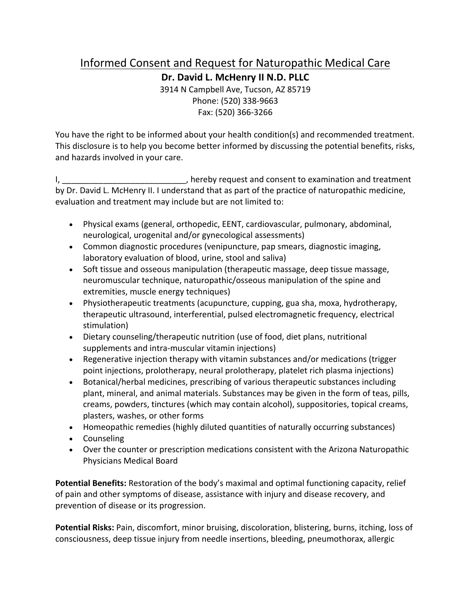## Informed Consent and Request for Naturopathic Medical Care

**Dr. David L. McHenry II N.D. PLLC**

3914 N Campbell Ave, Tucson, AZ 85719 Phone: (520) 338-9663 Fax: (520) 366-3266

You have the right to be informed about your health condition(s) and recommended treatment. This disclosure is to help you become better informed by discussing the potential benefits, risks, and hazards involved in your care.

I, hereby request and consent to examination and treatment by Dr. David L. McHenry II. I understand that as part of the practice of naturopathic medicine, evaluation and treatment may include but are not limited to:

- Physical exams (general, orthopedic, EENT, cardiovascular, pulmonary, abdominal, neurological, urogenital and/or gynecological assessments)
- Common diagnostic procedures (venipuncture, pap smears, diagnostic imaging, laboratory evaluation of blood, urine, stool and saliva)
- Soft tissue and osseous manipulation (therapeutic massage, deep tissue massage, neuromuscular technique, naturopathic/osseous manipulation of the spine and extremities, muscle energy techniques)
- Physiotherapeutic treatments (acupuncture, cupping, gua sha, moxa, hydrotherapy, therapeutic ultrasound, interferential, pulsed electromagnetic frequency, electrical stimulation)
- Dietary counseling/therapeutic nutrition (use of food, diet plans, nutritional supplements and intra-muscular vitamin injections)
- Regenerative injection therapy with vitamin substances and/or medications (trigger point injections, prolotherapy, neural prolotherapy, platelet rich plasma injections)
- Botanical/herbal medicines, prescribing of various therapeutic substances including plant, mineral, and animal materials. Substances may be given in the form of teas, pills, creams, powders, tinctures (which may contain alcohol), suppositories, topical creams, plasters, washes, or other forms
- Homeopathic remedies (highly diluted quantities of naturally occurring substances)
- Counseling
- Over the counter or prescription medications consistent with the Arizona Naturopathic Physicians Medical Board

**Potential Benefits:** Restoration of the body's maximal and optimal functioning capacity, relief of pain and other symptoms of disease, assistance with injury and disease recovery, and prevention of disease or its progression.

**Potential Risks:** Pain, discomfort, minor bruising, discoloration, blistering, burns, itching, loss of consciousness, deep tissue injury from needle insertions, bleeding, pneumothorax, allergic